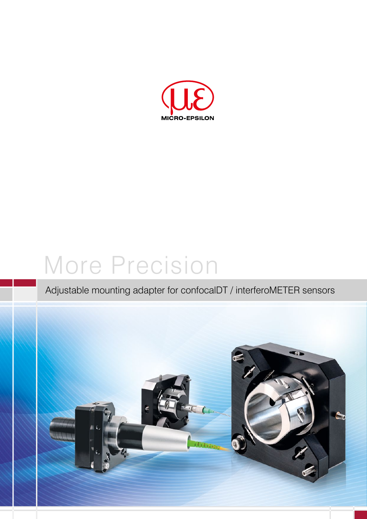

# More Precision

## Adjustable mounting adapter for confocalDT / interferoMETER sensors

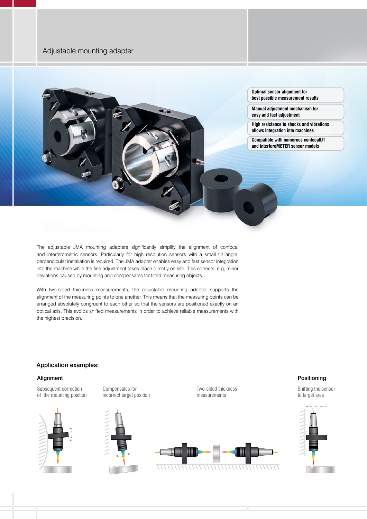### Adjustable mounting adapter



The adjustable JMA mounting adapters significantly simplify the alignment of confocal and interferometric sensors. Particularly for high resolution sensors with a small tilt angle, perpendicular installation is required. The JMA adapter enables easy and fast sensor integration into the machine while the fine adjustment takes place directly on site. This corrects, e.g, minor deviations caused by mounting and compensates for tilted measuring objects.

With two-sided thickness measurements, the adjustable mounting adapter supports the alignment of the measuring points to one another. This means that the measuring points can be arranged absolutely congruent to each other so that the sensors are positioned exactly on an optical axis. This avoids shifted measurements in order to achieve reliable measurements with the highest precision.

#### Application examples:

#### Alignment

Subsequent correction of the mounting position





Compensates for



Two-sided thickness measurements



#### Positioning

Shifting the sensor to target area

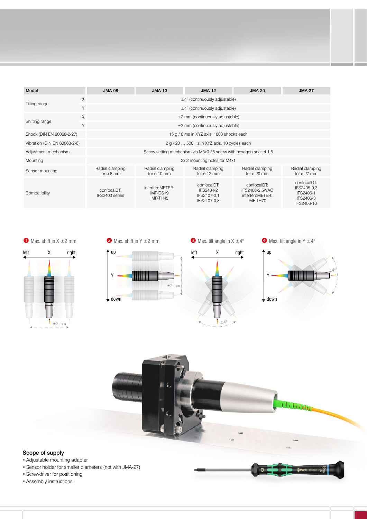| Model                        |          | $JMA-08$                                                          | <b>JMA-10</b>                           | $JMA-12$                                               | <b>JMA-20</b>                                                 | <b>JMA-27</b>                                                      |  |
|------------------------------|----------|-------------------------------------------------------------------|-----------------------------------------|--------------------------------------------------------|---------------------------------------------------------------|--------------------------------------------------------------------|--|
| $\times$                     |          | $\pm 4^{\circ}$ (continuously adjustable)                         |                                         |                                                        |                                                               |                                                                    |  |
| Tilting range                | Y        | $\pm 4^{\circ}$ (continuously adjustable)                         |                                         |                                                        |                                                               |                                                                    |  |
| Shifting range               | $\times$ | $\pm 2$ mm (continuously adjustable)                              |                                         |                                                        |                                                               |                                                                    |  |
|                              | Y        | $\pm 2$ mm (continuously adjustable)                              |                                         |                                                        |                                                               |                                                                    |  |
| Shock (DIN EN 60068-2-27)    |          | 15 g / 6 ms in XYZ axis, 1000 shocks each                         |                                         |                                                        |                                                               |                                                                    |  |
| Vibration (DIN EN 60068-2-6) |          | 2 g / 20  500 Hz in XYZ axis, 10 cycles each                      |                                         |                                                        |                                                               |                                                                    |  |
| Adjustment mechanism         |          | Screw setting mechanism via M3x0.25 screw with hexagon socket 1.5 |                                         |                                                        |                                                               |                                                                    |  |
| Mounting                     |          | 2x 2 mounting holes for M4x1                                      |                                         |                                                        |                                                               |                                                                    |  |
| Sensor mounting              |          | Radial clamping<br>for $\alpha$ 8 mm                              | Radial clamping<br>for $\alpha$ 10 mm   | Radial clamping<br>for $\alpha$ 12 mm                  | Radial clamping<br>for $\alpha$ 20 mm                         | Radial clamping<br>for $\alpha$ 27 mm                              |  |
| Compatibility                |          | confocalDT:<br>IFS2403 series                                     | interferoMETER:<br>IMP-DS19<br>IMP-TH45 | confocalDT:<br>IFS2404-2<br>IFS2407-0.1<br>IFS2407-0,8 | confocalDT:<br>IFS2406-2.5/VAC<br>interferoMETER:<br>IMP-TH70 | confocalDT:<br>IFS2405-0.3<br>IFS2405-1<br>IFS2406-3<br>IFS2406-10 |  |

 $±2$  mm





 $\bullet$  Max. shift in Y  $\pm$ 2 mm t up

Y

 $\downarrow$  down

 $\bullet$  Max. tilt angle in X  $\pm 4^{\circ}$ 

left X right  $±4°$ 

 $\bullet$  Max. tilt angle in Y  $\pm 4^{\circ}$  $\pm 4^\circ$ Y t up

 $\downarrow$  down

 $\overline{O}$ 



#### Scope of supply

- Adjustable mounting adapter
- Sensor holder for smaller diameters (not with JMA-27)
- Screwdriver for positioning
- Assembly instructions